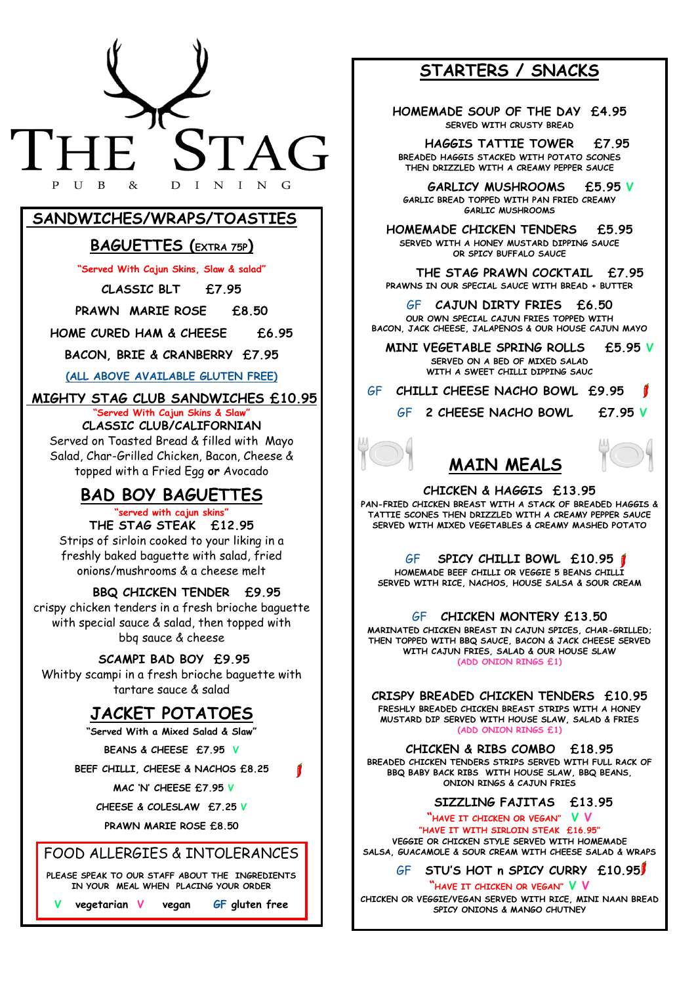

### **SANDWICHES/WRAPS/TOASTIES**

### **BAGUETTES (EXTRA 75P)**

**"Served With Cajun Skins, Slaw & salad"**

**CLASSIC BLT £7.95**

**PRAWN MARIE ROSE £8.50**

**HOME CURED HAM & CHEESE £6.95**

**BACON, BRIE & CRANBERRY £7.95** 

**(ALL ABOVE AVAILABLE GLUTEN FREE)** 

**MIGHTY STAG CLUB SANDWICHES £10.95** 

#### **"Served With Cajun Skins & Slaw" CLASSIC CLUB/CALIFORNIAN**

Served on Toasted Bread & filled with Mayo Salad, Char-Grilled Chicken, Bacon, Cheese & topped with a Fried Egg **or** Avocado

# **BAD BOY BAGUETTES**

### **"served with cajun skins"**

**THE STAG STEAK £12.95**  Strips of sirloin cooked to your liking in a freshly baked baguette with salad, fried onions/mushrooms & a cheese melt

#### **BBQ CHICKEN TENDER £9.95**

crispy chicken tenders in a fresh brioche baguette with special sauce & salad, then topped with bbq sauce & cheese

### **SCAMPI BAD BOY £9.95**

Whitby scampi in a fresh brioche baguette with tartare sauce & salad

# **JACKET POTATOES**

**"Served With a Mixed Salad & Slaw"** 

**BEANS & CHEESE £7.95 V** 

**BEEF CHILLI, CHEESE & NACHOS £8.25**

1

**MAC 'N' CHEESE £7.95 V** 

**CHEESE & COLESLAW £7.25 V**

**PRAWN MARIE ROSE £8.50**

### FOOD ALLERGIES & INTOLERANCES

**PLEASE SPEAK TO OUR STAFF ABOUT THE INGREDIENTS IN YOUR MEAL WHEN PLACING YOUR ORDER**

**V vegetarian V vegan GF gluten free** 

# **STARTERS / SNACKS**

**HOMEMADE SOUP OF THE DAY £4.95 SERVED WITH CRUSTY BREAD** 

 **HAGGIS TATTIE TOWER £7.95 BREADED HAGGIS STACKED WITH POTATO SCONES THEN DRIZZLED WITH A CREAMY PEPPER SAUCE** 

 **GARLICY MUSHROOMS £5.95 V GARLIC BREAD TOPPED WITH PAN FRIED CREAMY GARLIC MUSHROOMS** 

**HOMEMADE CHICKEN TENDERS £5.95 SERVED WITH A HONEY MUSTARD DIPPING SAUCE OR SPICY BUFFALO SAUCE** 

 **THE STAG PRAWN COCKTAIL £7.95 PRAWNS IN OUR SPECIAL SAUCE WITH BREAD + BUTTER**

GF **CAJUN DIRTY FRIES £6.50 OUR OWN SPECIAL CAJUN FRIES TOPPED WITH BACON, JACK CHEESE, JALAPENOS & OUR HOUSE CAJUN MAYO** 

 **MINI VEGETABLE SPRING ROLLS £5.95 V SERVED ON A BED OF MIXED SALAD WITH A SWEET CHILLI DIPPING SAUC**

GF **CHILLI CHEESE NACHO BOWL £9.95** 

GF **2 CHEESE NACHO BOWL £7.95 V** 

1

#### **CHICKEN & HAGGIS £13.95**

**MAIN MEALS** 

**PAN-FRIED CHICKEN BREAST WITH A STACK OF BREADED HAGGIS & TATTIE SCONES THEN DRIZZLED WITH A CREAMY PEPPER SAUCE SERVED WITH MIXED VEGETABLES & CREAMY MASHED POTATO** 

GF **SPICY CHILLI BOWL £10.95 HOMEMADE BEEF CHILLI OR VEGGIE 5 BEANS CHILLI SERVED WITH RICE, NACHOS, HOUSE SALSA & SOUR CREAM** 

GF **CHICKEN MONTERY £13.50** 

**MARINATED CHICKEN BREAST IN CAJUN SPICES, CHAR-GRILLED; THEN TOPPED WITH BBQ SAUCE, BACON & JACK CHEESE SERVED WITH CAJUN FRIES, SALAD & OUR HOUSE SLAW (ADD ONION RINGS £1)** 

**CRISPY BREADED CHICKEN TENDERS £10.95 FRESHLY BREADED CHICKEN BREAST STRIPS WITH A HONEY MUSTARD DIP SERVED WITH HOUSE SLAW, SALAD & FRIES (ADD ONION RINGS £1)** 

**CHICKEN & RIBS COMBO £18.95 BREADED CHICKEN TENDERS STRIPS SERVED WITH FULL RACK OF BBQ BABY BACK RIBS WITH HOUSE SLAW, BBQ BEANS, ONION RINGS & CAJUN FRIES**

#### **SIZZLING FAJITAS £13.95**

**"HAVE IT CHICKEN OR VEGAN" V V** 

**"HAVE IT WITH SIRLOIN STEAK £16.95"** 

**VEGGIE OR CHICKEN STYLE SERVED WITH HOMEMADE SALSA, GUACAMOLE & SOUR CREAM WITH CHEESE SALAD & WRAPS** 

GF **STU'S HOT n SPICY CURRY £10.95** 

**"HAVE IT CHICKEN OR VEGAN" V V** 

**CHICKEN OR VEGGIE/VEGAN SERVED WITH RICE, MINI NAAN BREAD SPICY ONIONS & MANGO CHUTNEY**